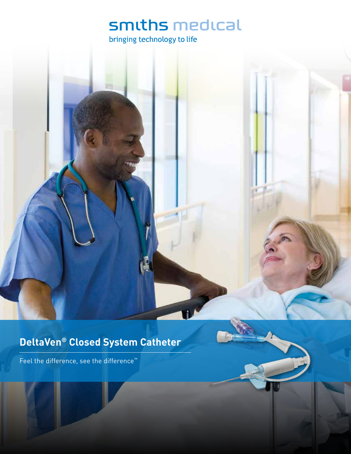## smiths medical

bringing technology to life

### **DeltaVen® Closed System Catheter**

Feel the difference, see the difference™

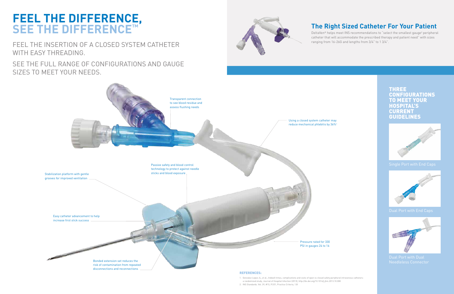# **FEEL THE DIFFERENCE, SEE THE DIFFERENCE™**

FEEL THE INSERTION OF A CLOSED SYSTEM CATHETER WITH EASY THREADING.

SEE THE FULL RANGE OF CONFIGURATIONS AND GAUGE SIZES TO MEET YOUR NEEDS.



disconnections and reconnections



DeltaVen<sup>®</sup> helps meet INS recommendations to "select the smallest gauge<sup>2</sup> peripheral catheter that will accommodate the prescribed therapy and patient need" with sizes ranging from 16-26G and lengths from 3/4" to 1 3/4".

### **The Right Sized Catheter For Your Patient**

THREE CONFIGURATIONS TO MEET YOUR **HOSPITAL'S CURRENT** GUIDELINES







#### REFERENCES:

- 1. Gonzalez Lopez JL, et al., Indwell times, complications and costs of open vs closed safety peripheral intravenous catheters: a randomized study, Journal of Hospital Infection (2013), http://dx.doi.org/10.1016/j.jhin.2013.10.008
- 2. INS Standards. Vol. 39, #1S, P.S51, Practice Criteria, 1.B